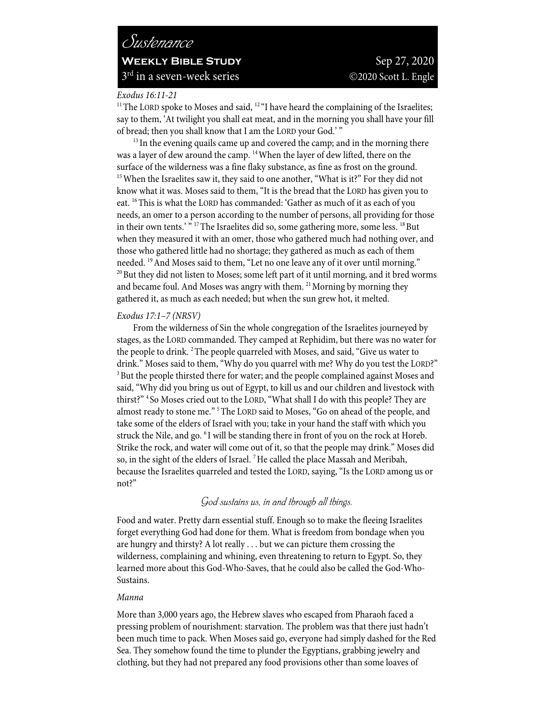# *Sustenance* **WEEKLY BIBLE STUDY** Sep 27, 2020  $3<sup>rd</sup>$  in a seven-week series  $\odot$ 2020 Scott L. Engle

# *Exodus 16:11-21*

<sup>11</sup>The LORD spoke to Moses and said,  $12 \text{°I}$  have heard the complaining of the Israelites; say to them, 'At twilight you shall eat meat, and in the morning you shall have your fill of bread; then you shall know that I am the LORD your God.' "<br><sup>13</sup> In the evening quails came up and covered the camp; and in the morning there

was a layer of dew around the camp. <sup>14</sup> When the layer of dew lifted, there on the surface of the wilderness was a fine flaky substance, as fine as frost on the ground. <sup>15</sup> When the Israelites saw it, they said to one another, "What is it?" For they did not know what it was. Moses said to them, "It is the bread that the LORD has given you to eat. 16This is what the LORD has commanded: 'Gather as much of it as each of you needs, an omer to a person according to the number of persons, all providing for those in their own tents.' "<sup>17</sup>The Israelites did so, some gathering more, some less. <sup>18</sup>But when they measured it with an omer, those who gathered much had nothing over, and those who gathered little had no shortage; they gathered as much as each of them needed. <sup>19</sup> And Moses said to them, "Let no one leave any of it over until morning."<br><sup>20</sup>But they did not listen to Moses; some left part of it until morning, and it bred worms and became foul. And Moses was angry with them.  $21$  Morning by morning they gathered it, as much as each needed; but when the sun grew hot, it melted.

#### *Exodus 17:1–7 (NRSV)*

From the wilderness of Sin the whole congregation of the Israelites journeyed by stages, as the LORD commanded. They camped at Rephidim, but there was no water for the people to drink. 2The people quarreled with Moses, and said, "Give us water to drink." Moses said to them, "Why do you quarrel with me? Why do you test the LORD?" <sup>3</sup>But the people thirsted there for water; and the people complained against Moses and said, "Why did you bring us out of Egypt, to kill us and our children and livestock with thirst?" 4 So Moses cried out to the LORD, "What shall I do with this people? They are almost ready to stone me." 5The LORD said to Moses, "Go on ahead of the people, and take some of the elders of Israel with you; take in your hand the staff with which you struck the Nile, and go. <sup>6</sup> I will be standing there in front of you on the rock at Horeb. Strike the rock, and water will come out of it, so that the people may drink." Moses did so, in the sight of the elders of Israel. 7He called the place Massah and Meribah, because the Israelites quarreled and tested the LORD, saying, "Is the LORD among us or not?"

# *God sustains us, in and through all things.*

Food and water. Pretty darn essential stuff. Enough so to make the fleeing Israelites forget everything God had done for them. What is freedom from bondage when you are hungry and thirsty? A lot really . . . but we can picture them crossing the wilderness, complaining and whining, even threatening to return to Egypt. So, they learned more about this God-Who-Saves, that he could also be called the God-Who-Sustains.

#### *Manna*

More than 3,000 years ago, the Hebrew slaves who escaped from Pharaoh faced a pressing problem of nourishment: starvation. The problem was that there just hadn't been much time to pack. When Moses said go, everyone had simply dashed for the Red Sea. They somehow found the time to plunder the Egyptians, grabbing jewelry and clothing, but they had not prepared any food provisions other than some loaves of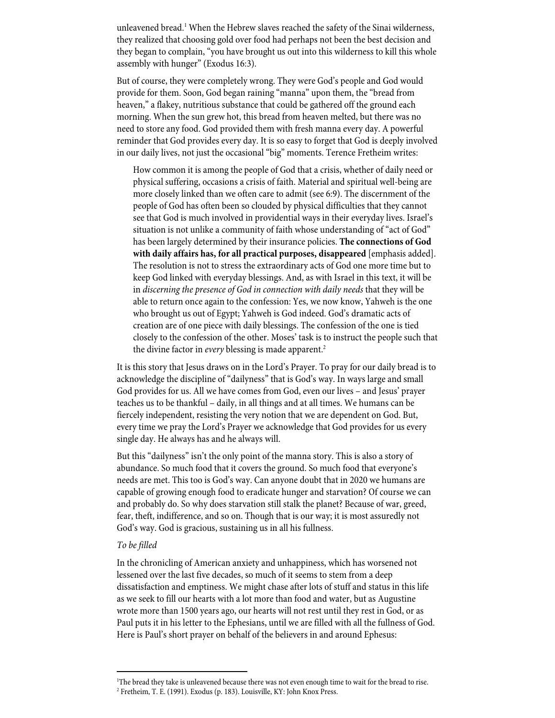unleavened bread.<sup>1</sup> When the Hebrew slaves reached the safety of the Sinai wilderness, they realized that choosing gold over food had perhaps not been the best decision and they began to complain, "you have brought us out into this wilderness to kill this whole assembly with hunger" (Exodus 16:3).

But of course, they were completely wrong. They were God's people and God would provide for them. Soon, God began raining "manna" upon them, the "bread from heaven," a flakey, nutritious substance that could be gathered off the ground each morning. When the sun grew hot, this bread from heaven melted, but there was no need to store any food. God provided them with fresh manna every day. A powerful reminder that God provides every day. It is so easy to forget that God is deeply involved in our daily lives, not just the occasional "big" moments. Terence Fretheim writes:

How common it is among the people of God that a crisis, whether of daily need or physical suffering, occasions a crisis of faith. Material and spiritual well-being are more closely linked than we often care to admit (see 6:9). The discernment of the people of God has often been so clouded by physical difficulties that they cannot see that God is much involved in providential ways in their everyday lives. Israel's situation is not unlike a community of faith whose understanding of "act of God" has been largely determined by their insurance policies. **The connections of God with daily affairs has, for all practical purposes, disappeared** [emphasis added]. The resolution is not to stress the extraordinary acts of God one more time but to keep God linked with everyday blessings. And, as with Israel in this text, it will be in *discerning the presence of God in connection with daily needs* that they will be able to return once again to the confession: Yes, we now know, Yahweh is the one who brought us out of Egypt; Yahweh is God indeed. God's dramatic acts of creation are of one piece with daily blessings. The confession of the one is tied closely to the confession of the other. Moses' task is to instruct the people such that the divine factor in *every* blessing is made apparent.<sup>2</sup>

It is this story that Jesus draws on in the Lord's Prayer. To pray for our daily bread is to acknowledge the discipline of "dailyness" that is God's way. In ways large and small God provides for us. All we have comes from God, even our lives – and Jesus' prayer teaches us to be thankful – daily, in all things and at all times. We humans can be fiercely independent, resisting the very notion that we are dependent on God. But, every time we pray the Lord's Prayer we acknowledge that God provides for us every single day. He always has and he always will.

But this "dailyness" isn't the only point of the manna story. This is also a story of abundance. So much food that it covers the ground. So much food that everyone's needs are met. This too is God's way. Can anyone doubt that in 2020 we humans are capable of growing enough food to eradicate hunger and starvation? Of course we can and probably do. So why does starvation still stalk the planet? Because of war, greed, fear, theft, indifference, and so on. Though that is our way; it is most assuredly not God's way. God is gracious, sustaining us in all his fullness.

#### *To be filled*

In the chronicling of American anxiety and unhappiness, which has worsened not lessened over the last five decades, so much of it seems to stem from a deep dissatisfaction and emptiness. We might chase after lots of stuff and status in this life as we seek to fill our hearts with a lot more than food and water, but as Augustine wrote more than 1500 years ago, our hearts will not rest until they rest in God, or as Paul puts it in his letter to the Ephesians, until we are filled with all the fullness of God. Here is Paul's short prayer on behalf of the believers in and around Ephesus:

<sup>&</sup>lt;sup>1</sup>The bread they take is unleavened because there was not even enough time to wait for the bread to rise.

<sup>2</sup> Fretheim, T. E. (1991). Exodus (p. 183). Louisville, KY: John Knox Press.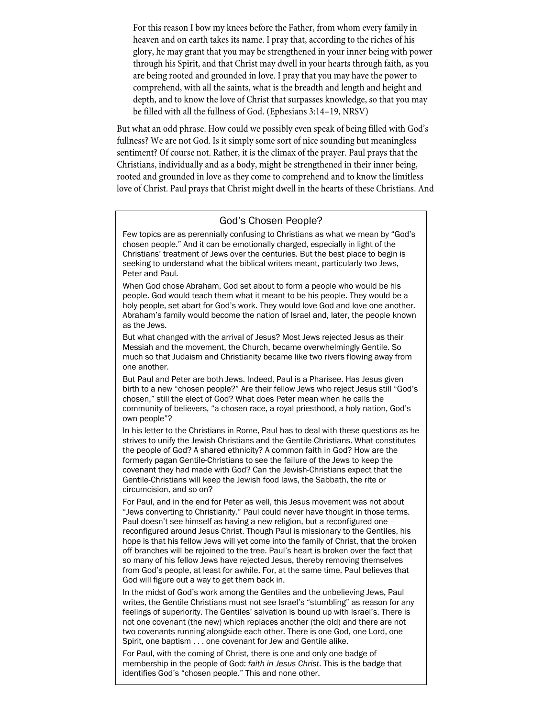For this reason I bow my knees before the Father, from whom every family in heaven and on earth takes its name. I pray that, according to the riches of his glory, he may grant that you may be strengthened in your inner being with power through his Spirit, and that Christ may dwell in your hearts through faith, as you are being rooted and grounded in love. I pray that you may have the power to comprehend, with all the saints, what is the breadth and length and height and depth, and to know the love of Christ that surpasses knowledge, so that you may be filled with all the fullness of God. (Ephesians 3:14–19, NRSV)

But what an odd phrase. How could we possibly even speak of being filled with God's fullness? We are not God. Is it simply some sort of nice sounding but meaningless sentiment? Of course not. Rather, it is the climax of the prayer. Paul prays that the Christians, individually and as a body, might be strengthened in their inner being, rooted and grounded in love as they come to comprehend and to know the limitless love of Christ. Paul prays that Christ might dwell in the hearts of these Christians. And

## God's Chosen People?

Few topics are as perennially confusing to Christians as what we mean by "God's chosen people." And it can be emotionally charged, especially in light of the Christians' treatment of Jews over the centuries. But the best place to begin is seeking to understand what the biblical writers meant, particularly two Jews, Peter and Paul.

When God chose Abraham, God set about to form a people who would be his people. God would teach them what it meant to be his people. They would be a holy people, set abart for God's work. They would love God and love one another. Abraham's family would become the nation of Israel and, later, the people known as the Jews.

But what changed with the arrival of Jesus? Most Jews rejected Jesus as their Messiah and the movement, the Church, became overwhelmingly Gentile. So much so that Judaism and Christianity became like two rivers flowing away from one another.

But Paul and Peter are both Jews. Indeed, Paul is a Pharisee. Has Jesus given birth to a new "chosen people?" Are their fellow Jews who reject Jesus still "God's chosen," still the elect of God? What does Peter mean when he calls the community of believers, "a chosen race, a royal priesthood, a holy nation, God's own people"?

In his letter to the Christians in Rome, Paul has to deal with these questions as he strives to unify the Jewish-Christians and the Gentile-Christians. What constitutes the people of God? A shared ethnicity? A common faith in God? How are the formerly pagan Gentile-Christians to see the failure of the Jews to keep the covenant they had made with God? Can the Jewish-Christians expect that the Gentile-Christians will keep the Jewish food laws, the Sabbath, the rite or circumcision, and so on?

For Paul, and in the end for Peter as well, this Jesus movement was not about "Jews converting to Christianity." Paul could never have thought in those terms. Paul doesn't see himself as having a new religion, but a reconfigured one – reconfigured around Jesus Christ. Though Paul is missionary to the Gentiles, his hope is that his fellow Jews will yet come into the family of Christ, that the broken off branches will be rejoined to the tree. Paul's heart is broken over the fact that so many of his fellow Jews have rejected Jesus, thereby removing themselves from God's people, at least for awhile. For, at the same time, Paul believes that God will figure out a way to get them back in.

In the midst of God's work among the Gentiles and the unbelieving Jews, Paul writes, the Gentile Christians must not see Israel's "stumbling" as reason for any feelings of superiority. The Gentiles' salvation is bound up with Israel's. There is not one covenant (the new) which replaces another (the old) and there are not two covenants running alongside each other. There is one God, one Lord, one Spirit, one baptism . . . one covenant for Jew and Gentile alike.

For Paul, with the coming of Christ, there is one and only one badge of membership in the people of God: *faith in Jesus Christ*. This is the badge that identifies God's "chosen people." This and none other.